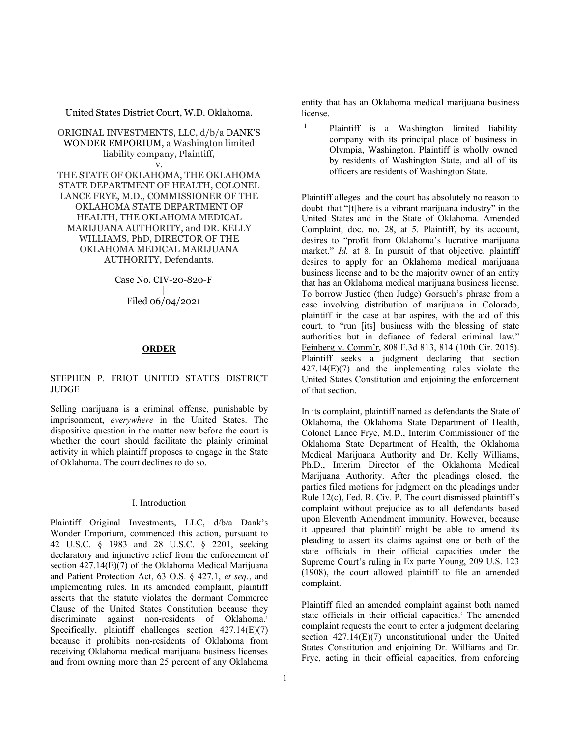United States District Court, W.D. Oklahoma.

ORIGINAL INVESTMENTS, LLC, d/b/a [DANK'S](http://www.westlaw.com/Search/Results.html?query=advanced%3a+OAID(5055640720)&saveJuris=False&contentType=BUSINESS-INVESTIGATOR&startIndex=1&contextData=(sc.Default)&categoryPageUrl=Home%2fCompanyInvestigator&originationContext=document&vr=3.0&rs=cblt1.0&transitionType=DocumentItem)  [WONDER EMPORIUM,](http://www.westlaw.com/Search/Results.html?query=advanced%3a+OAID(5055640720)&saveJuris=False&contentType=BUSINESS-INVESTIGATOR&startIndex=1&contextData=(sc.Default)&categoryPageUrl=Home%2fCompanyInvestigator&originationContext=document&vr=3.0&rs=cblt1.0&transitionType=DocumentItem) a Washington limited liability company, Plaintiff, v.

THE STATE OF OKLAHOMA, THE OKLAHOMA STATE DEPARTMENT OF HEALTH, COLONEL LANCE FRYE, M.D., COMMISSIONER OF THE OKLAHOMA STATE DEPARTMENT OF HEALTH, THE OKLAHOMA MEDICAL MARIJUANA AUTHORITY, and DR. KELLY WILLIAMS, PhD, DIRECTOR OF THE OKLAHOMA MEDICAL MARIJUANA AUTHORITY, Defendants.

Case No. CIV-20-820-F

| Filed 06/04/2021

#### **ORDER**

## [STEPHEN P. FRIOT](http://www.westlaw.com/Link/Document/FullText?findType=h&pubNum=176284&cite=0183330901&originatingDoc=Id28cf0a0c78211eb99108bada5c941b8&refType=RQ&originationContext=document&vr=3.0&rs=cblt1.0&transitionType=DocumentItem&contextData=(sc.Search)) UNITED STATES DISTRICT **JUDGE**

Selling marijuana is a criminal offense, punishable by imprisonment, *everywhere* in the United States. The dispositive question in the matter now before the court is whether the court should facilitate the plainly criminal activity in which plaintiff proposes to engage in the State of Oklahoma. The court declines to do so.

### I. Introduction

Plaintiff Original Investments, LLC, d/b/a Dank's Wonder Emporium, commenced this action, pursuant to [42 U.S.C. § 1983](http://www.westlaw.com/Link/Document/FullText?findType=L&pubNum=1000546&cite=42USCAS1983&originatingDoc=Id28cf0a0c78211eb99108bada5c941b8&refType=LQ&originationContext=document&vr=3.0&rs=cblt1.0&transitionType=DocumentItem&contextData=(sc.Search)) and [28 U.S.C. § 2201,](http://www.westlaw.com/Link/Document/FullText?findType=L&pubNum=1000546&cite=28USCAS2201&originatingDoc=Id28cf0a0c78211eb99108bada5c941b8&refType=LQ&originationContext=document&vr=3.0&rs=cblt1.0&transitionType=DocumentItem&contextData=(sc.Search)) seeking declaratory and injunctive relief from the enforcement of section 427.14(E)(7) of the Oklahoma Medical Marijuana and Patient Protection Act, [63 O.S. § 427.1,](http://www.westlaw.com/Link/Document/FullText?findType=L&pubNum=1000165&cite=OKSTT63S427.1&originatingDoc=Id28cf0a0c78211eb99108bada5c941b8&refType=LQ&originationContext=document&vr=3.0&rs=cblt1.0&transitionType=DocumentItem&contextData=(sc.Search)) *et seq.*, and implementing rules. In its amended complaint, plaintiff asserts that the statute violates the dormant Commerce Clause of the United States Constitution because they discriminate against non-residents of Oklahoma.<sup>1</sup> Specifically, plaintiff challenges section 427.14(E)(7) because it prohibits non-residents of Oklahoma from receiving Oklahoma medical marijuana business licenses and from owning more than 25 percent of any Oklahoma

entity that has an Oklahoma medical marijuana business license.

<sup>1</sup> Plaintiff is a Washington limited liability company with its principal place of business in Olympia, Washington. Plaintiff is wholly owned by residents of Washington State, and all of its officers are residents of Washington State.

Plaintiff alleges–and the court has absolutely no reason to doubt–that "[t]here is a vibrant marijuana industry" in the United States and in the State of Oklahoma. Amended Complaint, doc. no. 28, at 5. Plaintiff, by its account, desires to "profit from Oklahoma's lucrative marijuana market." *Id.* at 8. In pursuit of that objective, plaintiff desires to apply for an Oklahoma medical marijuana business license and to be the majority owner of an entity that has an Oklahoma medical marijuana business license. To borrow Justice (then Judge) Gorsuch's phrase from a case involving distribution of marijuana in Colorado, plaintiff in the case at bar aspires, with the aid of this court, to "run [its] business with the blessing of state authorities but in defiance of federal criminal law." [Feinberg v. Comm'r, 808 F.3d 813, 814 \(10th Cir. 2015\).](http://www.westlaw.com/Link/Document/FullText?findType=Y&serNum=2037837362&pubNum=0000506&originatingDoc=Id28cf0a0c78211eb99108bada5c941b8&refType=RP&fi=co_pp_sp_506_814&originationContext=document&vr=3.0&rs=cblt1.0&transitionType=DocumentItem&contextData=(sc.Search)#co_pp_sp_506_814) Plaintiff seeks a judgment declaring that section 427.14(E)(7) and the implementing rules violate the United States Constitution and enjoining the enforcement of that section.

In its complaint, plaintiff named as defendants the State of Oklahoma, the Oklahoma State Department of Health, Colonel Lance Frye, M.D., Interim Commissioner of the Oklahoma State Department of Health, the Oklahoma Medical Marijuana Authority and Dr. Kelly Williams, Ph.D., Interim Director of the Oklahoma Medical Marijuana Authority. After the pleadings closed, the parties filed motions for judgment on the pleadings under [Rule 12\(c\), Fed. R. Civ. P.](http://www.westlaw.com/Link/Document/FullText?findType=L&pubNum=1000600&cite=USFRCPR12&originatingDoc=Id28cf0a0c78211eb99108bada5c941b8&refType=LQ&originationContext=document&vr=3.0&rs=cblt1.0&transitionType=DocumentItem&contextData=(sc.Search)) The court dismissed plaintiff's complaint without prejudice as to all defendants based upon Eleventh Amendment immunity. However, because it appeared that plaintiff might be able to amend its pleading to assert its claims against one or both of the state officials in their official capacities under the Supreme Court's ruling in [Ex parte Young, 209 U.S. 123](http://www.westlaw.com/Link/Document/FullText?findType=Y&serNum=1908100273&pubNum=0000780&originatingDoc=Id28cf0a0c78211eb99108bada5c941b8&refType=RP&originationContext=document&vr=3.0&rs=cblt1.0&transitionType=DocumentItem&contextData=(sc.Search))  [\(1908\),](http://www.westlaw.com/Link/Document/FullText?findType=Y&serNum=1908100273&pubNum=0000780&originatingDoc=Id28cf0a0c78211eb99108bada5c941b8&refType=RP&originationContext=document&vr=3.0&rs=cblt1.0&transitionType=DocumentItem&contextData=(sc.Search)) the court allowed plaintiff to file an amended complaint.

Plaintiff filed an amended complaint against both named state officials in their official capacities.<sup>2</sup> The amended complaint requests the court to enter a judgment declaring section 427.14(E)(7) unconstitutional under the United States Constitution and enjoining Dr. Williams and Dr. Frye, acting in their official capacities, from enforcing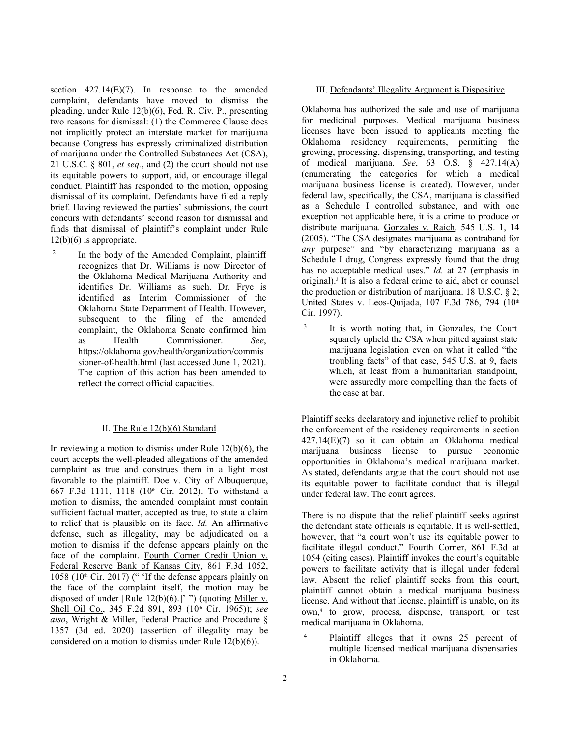section  $427.14(E)(7)$ . In response to the amended complaint, defendants have moved to dismiss the pleading, under [Rule 12\(b\)\(6\), Fed. R. Civ. P.,](http://www.westlaw.com/Link/Document/FullText?findType=L&pubNum=1000600&cite=USFRCPR12&originatingDoc=Id28cf0a0c78211eb99108bada5c941b8&refType=LQ&originationContext=document&vr=3.0&rs=cblt1.0&transitionType=DocumentItem&contextData=(sc.Search)) presenting two reasons for dismissal: (1) the Commerce Clause does not implicitly protect an interstate market for marijuana because Congress has expressly criminalized distribution of marijuana under the Controlled Substances Act (CSA), [21 U.S.C. § 801,](http://www.westlaw.com/Link/Document/FullText?findType=L&pubNum=1000546&cite=21USCAS801&originatingDoc=Id28cf0a0c78211eb99108bada5c941b8&refType=LQ&originationContext=document&vr=3.0&rs=cblt1.0&transitionType=DocumentItem&contextData=(sc.Search)) *et seq.*, and (2) the court should not use its equitable powers to support, aid, or encourage illegal conduct. Plaintiff has responded to the motion, opposing dismissal of its complaint. Defendants have filed a reply brief. Having reviewed the parties' submissions, the court concurs with defendants' second reason for dismissal and finds that dismissal of plaintiff's complaint under [Rule](http://www.westlaw.com/Link/Document/FullText?findType=L&pubNum=1000600&cite=USFRCPR12&originatingDoc=Id28cf0a0c78211eb99108bada5c941b8&refType=LQ&originationContext=document&vr=3.0&rs=cblt1.0&transitionType=DocumentItem&contextData=(sc.Search))   $12(b)(6)$  is appropriate.

<sup>2</sup> In the body of the Amended Complaint, plaintiff recognizes that Dr. Williams is now Director of the Oklahoma Medical Marijuana Authority and identifies Dr. Williams as such. Dr. Frye is identified as Interim Commissioner of the Oklahoma State Department of Health. However, subsequent to the filing of the amended complaint, the Oklahoma Senate confirmed him as Health Commissioner. *See*, https://oklahoma.gov/health/organization/commis sioner-of-health.html (last accessed June 1, 2021). The caption of this action has been amended to reflect the correct official capacities.

#### II. Th[e Rule 12\(b\)\(6\)](http://www.westlaw.com/Link/Document/FullText?findType=L&pubNum=1000600&cite=USFRCPR12&originatingDoc=Id28cf0a0c78211eb99108bada5c941b8&refType=LQ&originationContext=document&vr=3.0&rs=cblt1.0&transitionType=DocumentItem&contextData=(sc.Search)) Standard

In reviewing a motion to dismiss under Rule  $12(b)(6)$ , the court accepts the well-pleaded allegations of the amended complaint as true and construes them in a light most favorable to the plaintiff. [Doe v. City of Albuquerque,](http://www.westlaw.com/Link/Document/FullText?findType=Y&serNum=2026899490&pubNum=0000506&originatingDoc=Id28cf0a0c78211eb99108bada5c941b8&refType=RP&fi=co_pp_sp_506_1118&originationContext=document&vr=3.0&rs=cblt1.0&transitionType=DocumentItem&contextData=(sc.Search)#co_pp_sp_506_1118)  [667 F.3d 1111, 1118 \(10th](http://www.westlaw.com/Link/Document/FullText?findType=Y&serNum=2026899490&pubNum=0000506&originatingDoc=Id28cf0a0c78211eb99108bada5c941b8&refType=RP&fi=co_pp_sp_506_1118&originationContext=document&vr=3.0&rs=cblt1.0&transitionType=DocumentItem&contextData=(sc.Search)#co_pp_sp_506_1118) Cir. 2012). To withstand a motion to dismiss, the amended complaint must contain sufficient factual matter, accepted as true, to state a claim to relief that is plausible on its face. *Id.* An affirmative defense, such as illegality, may be adjudicated on a motion to dismiss if the defense appears plainly on the face of the complaint. [Fourth Corner Credit Union v.](http://www.westlaw.com/Link/Document/FullText?findType=Y&serNum=2041956517&pubNum=0000506&originatingDoc=Id28cf0a0c78211eb99108bada5c941b8&refType=RP&fi=co_pp_sp_506_1058&originationContext=document&vr=3.0&rs=cblt1.0&transitionType=DocumentItem&contextData=(sc.Search)#co_pp_sp_506_1058)  [Federal Reserve Bank of Kansas City, 861 F.3d 1052,](http://www.westlaw.com/Link/Document/FullText?findType=Y&serNum=2041956517&pubNum=0000506&originatingDoc=Id28cf0a0c78211eb99108bada5c941b8&refType=RP&fi=co_pp_sp_506_1058&originationContext=document&vr=3.0&rs=cblt1.0&transitionType=DocumentItem&contextData=(sc.Search)#co_pp_sp_506_1058)  1058 (10th [Cir. 2017\)](http://www.westlaw.com/Link/Document/FullText?findType=Y&serNum=2041956517&pubNum=0000506&originatingDoc=Id28cf0a0c78211eb99108bada5c941b8&refType=RP&fi=co_pp_sp_506_1058&originationContext=document&vr=3.0&rs=cblt1.0&transitionType=DocumentItem&contextData=(sc.Search)#co_pp_sp_506_1058) (" 'If the defense appears plainly on the face of the complaint itself, the motion may be disposed of under [Rule  $12(b)(6)$ .]' ") (quoting Miller v. Shell Oil Co., 345 F.2d 891, 893 (10<sup>th</sup> Cir. 1965)); see *also*, [Wright & Miller, Federal Practice and Procedure](http://www.westlaw.com/Link/Document/FullText?findType=Y&serNum=0299701639&pubNum=0102228&originatingDoc=Id28cf0a0c78211eb99108bada5c941b8&refType=TS&originationContext=document&vr=3.0&rs=cblt1.0&transitionType=DocumentItem&contextData=(sc.Search)) § [1357 \(3d ed. 2020\)](http://www.westlaw.com/Link/Document/FullText?findType=Y&serNum=0299701639&pubNum=0102228&originatingDoc=Id28cf0a0c78211eb99108bada5c941b8&refType=TS&originationContext=document&vr=3.0&rs=cblt1.0&transitionType=DocumentItem&contextData=(sc.Search)) (assertion of illegality may be considered on a motion to dismiss under [Rule 12\(b\)\(6\)\)](http://www.westlaw.com/Link/Document/FullText?findType=L&pubNum=1000600&cite=USFRCPR12&originatingDoc=Id28cf0a0c78211eb99108bada5c941b8&refType=LQ&originationContext=document&vr=3.0&rs=cblt1.0&transitionType=DocumentItem&contextData=(sc.Search)).

#### III. Defendants' Illegality Argument is Dispositive

Oklahoma has authorized the sale and use of marijuana for medicinal purposes. Medical marijuana business licenses have been issued to applicants meeting the Oklahoma residency requirements, permitting the growing, processing, dispensing, transporting, and testing of medical marijuana. *See*, [63 O.S. § 427.14\(A\)](http://www.westlaw.com/Link/Document/FullText?findType=L&pubNum=1000165&cite=OKSTT63S427.14&originatingDoc=Id28cf0a0c78211eb99108bada5c941b8&refType=LQ&originationContext=document&vr=3.0&rs=cblt1.0&transitionType=DocumentItem&contextData=(sc.Search)) (enumerating the categories for which a medical marijuana business license is created). However, under federal law, specifically, the CSA, marijuana is classified as a Schedule I controlled substance, and with one exception not applicable here, it is a crime to produce or distribute marijuana. [Gonzales v. Raich, 545 U.S. 1, 14](http://www.westlaw.com/Link/Document/FullText?findType=Y&serNum=2006741030&pubNum=0000780&originatingDoc=Id28cf0a0c78211eb99108bada5c941b8&refType=RP&fi=co_pp_sp_780_14&originationContext=document&vr=3.0&rs=cblt1.0&transitionType=DocumentItem&contextData=(sc.Search)#co_pp_sp_780_14)  [\(2005\).](http://www.westlaw.com/Link/Document/FullText?findType=Y&serNum=2006741030&pubNum=0000780&originatingDoc=Id28cf0a0c78211eb99108bada5c941b8&refType=RP&fi=co_pp_sp_780_14&originationContext=document&vr=3.0&rs=cblt1.0&transitionType=DocumentItem&contextData=(sc.Search)#co_pp_sp_780_14) "The CSA designates marijuana as contraband for *any* purpose" and "by characterizing marijuana as a Schedule I drug, Congress expressly found that the drug has no acceptable medical uses." *Id.* [at 27](http://www.westlaw.com/Link/Document/FullText?findType=Y&serNum=2006741030&pubNum=0000780&originatingDoc=Id28cf0a0c78211eb99108bada5c941b8&refType=RP&fi=co_pp_sp_780_27&originationContext=document&vr=3.0&rs=cblt1.0&transitionType=DocumentItem&contextData=(sc.Search)#co_pp_sp_780_27) (emphasis in original).<sup>3</sup> It is also a federal crime to aid, abet or counsel the production or distribution of marijuana. [18 U.S.C. § 2;](http://www.westlaw.com/Link/Document/FullText?findType=L&pubNum=1000546&cite=18USCAS2&originatingDoc=Id28cf0a0c78211eb99108bada5c941b8&refType=LQ&originationContext=document&vr=3.0&rs=cblt1.0&transitionType=DocumentItem&contextData=(sc.Search)) [United States v. Leos-Quijada, 107 F.3d 786, 794 \(10th](http://www.westlaw.com/Link/Document/FullText?findType=Y&serNum=1997056066&pubNum=0000506&originatingDoc=Id28cf0a0c78211eb99108bada5c941b8&refType=RP&fi=co_pp_sp_506_794&originationContext=document&vr=3.0&rs=cblt1.0&transitionType=DocumentItem&contextData=(sc.Search)#co_pp_sp_506_794) [Cir. 1997\).](http://www.westlaw.com/Link/Document/FullText?findType=Y&serNum=1997056066&pubNum=0000506&originatingDoc=Id28cf0a0c78211eb99108bada5c941b8&refType=RP&fi=co_pp_sp_506_794&originationContext=document&vr=3.0&rs=cblt1.0&transitionType=DocumentItem&contextData=(sc.Search)#co_pp_sp_506_794)

<sup>3</sup> It is worth noting that, in Gonzales, the Court squarely upheld the CSA when pitted against state marijuana legislation even on what it called "the troubling facts" of that case, [545 U.S. at 9,](http://www.westlaw.com/Link/Document/FullText?findType=Y&serNum=2006741030&pubNum=0000780&originatingDoc=Id28cf0a0c78211eb99108bada5c941b8&refType=RP&fi=co_pp_sp_780_9&originationContext=document&vr=3.0&rs=cblt1.0&transitionType=DocumentItem&contextData=(sc.Search)#co_pp_sp_780_9) facts which, at least from a humanitarian standpoint, were assuredly more compelling than the facts of the case at bar.

Plaintiff seeks declaratory and injunctive relief to prohibit the enforcement of the residency requirements in [section](http://www.westlaw.com/Link/Document/FullText?findType=L&pubNum=1000165&cite=OKSTT63S427.14&originatingDoc=Id28cf0a0c78211eb99108bada5c941b8&refType=LQ&originationContext=document&vr=3.0&rs=cblt1.0&transitionType=DocumentItem&contextData=(sc.Search))  [427.14\(E\)\(7\)](http://www.westlaw.com/Link/Document/FullText?findType=L&pubNum=1000165&cite=OKSTT63S427.14&originatingDoc=Id28cf0a0c78211eb99108bada5c941b8&refType=LQ&originationContext=document&vr=3.0&rs=cblt1.0&transitionType=DocumentItem&contextData=(sc.Search)) so it can obtain an Oklahoma medical marijuana business license to pursue economic opportunities in Oklahoma's medical marijuana market. As stated, defendants argue that the court should not use its equitable power to facilitate conduct that is illegal under federal law. The court agrees.

There is no dispute that the relief plaintiff seeks against the defendant state officials is equitable. It is well-settled, however, that "a court won't use its equitable power to facilitate illegal conduct." [Fourth Corner, 861 F.3d at](http://www.westlaw.com/Link/Document/FullText?findType=Y&serNum=2041956517&pubNum=0000506&originatingDoc=Id28cf0a0c78211eb99108bada5c941b8&refType=RP&fi=co_pp_sp_506_1054&originationContext=document&vr=3.0&rs=cblt1.0&transitionType=DocumentItem&contextData=(sc.Search)#co_pp_sp_506_1054)  [1054](http://www.westlaw.com/Link/Document/FullText?findType=Y&serNum=2041956517&pubNum=0000506&originatingDoc=Id28cf0a0c78211eb99108bada5c941b8&refType=RP&fi=co_pp_sp_506_1054&originationContext=document&vr=3.0&rs=cblt1.0&transitionType=DocumentItem&contextData=(sc.Search)#co_pp_sp_506_1054) (citing cases). Plaintiff invokes the court's equitable powers to facilitate activity that is illegal under federal law. Absent the relief plaintiff seeks from this court, plaintiff cannot obtain a medical marijuana business license. And without that license, plaintiff is unable, on its own,4 to grow, process, dispense, transport, or test medical marijuana in Oklahoma.

<sup>4</sup> Plaintiff alleges that it owns 25 percent of multiple licensed medical marijuana dispensaries in Oklahoma.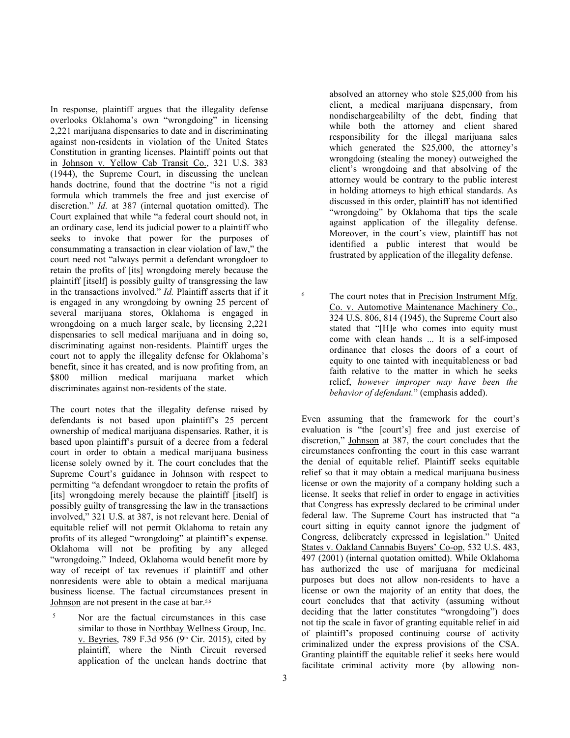In response, plaintiff argues that the illegality defense overlooks Oklahoma's own "wrongdoing" in licensing 2,221 marijuana dispensaries to date and in discriminating against non-residents in violation of the United States Constitution in granting licenses. Plaintiff points out that in [Johnson v. Yellow Cab Transit Co., 321 U.S. 383](http://www.westlaw.com/Link/Document/FullText?findType=Y&serNum=1944115768&pubNum=0000780&originatingDoc=Id28cf0a0c78211eb99108bada5c941b8&refType=RP&originationContext=document&vr=3.0&rs=cblt1.0&transitionType=DocumentItem&contextData=(sc.Search))  [\(1944\),](http://www.westlaw.com/Link/Document/FullText?findType=Y&serNum=1944115768&pubNum=0000780&originatingDoc=Id28cf0a0c78211eb99108bada5c941b8&refType=RP&originationContext=document&vr=3.0&rs=cblt1.0&transitionType=DocumentItem&contextData=(sc.Search)) the Supreme Court, in discussing the unclean hands doctrine, found that the doctrine "is not a rigid formula which trammels the free and just exercise of discretion." *Id.* [at 387](http://www.westlaw.com/Link/Document/FullText?findType=Y&serNum=1944115768&pubNum=0000780&originatingDoc=Id28cf0a0c78211eb99108bada5c941b8&refType=RP&fi=co_pp_sp_780_387&originationContext=document&vr=3.0&rs=cblt1.0&transitionType=DocumentItem&contextData=(sc.Search)#co_pp_sp_780_387) (internal quotation omitted). The Court explained that while "a federal court should not, in an ordinary case, lend its judicial power to a plaintiff who seeks to invoke that power for the purposes of consummating a transaction in clear violation of law," the court need not "always permit a defendant wrongdoer to retain the profits of [its] wrongdoing merely because the plaintiff [itself] is possibly guilty of transgressing the law in the transactions involved." *Id.* Plaintiff asserts that if it is engaged in any wrongdoing by owning 25 percent of several marijuana stores, Oklahoma is engaged in wrongdoing on a much larger scale, by licensing 2,221 dispensaries to sell medical marijuana and in doing so, discriminating against non-residents. Plaintiff urges the court not to apply the illegality defense for Oklahoma's benefit, since it has created, and is now profiting from, an \$800 million medical marijuana market which discriminates against non-residents of the state.

The court notes that the illegality defense raised by defendants is not based upon plaintiff's 25 percent ownership of medical marijuana dispensaries. Rather, it is based upon plaintiff's pursuit of a decree from a federal court in order to obtain a medical marijuana business license solely owned by it. The court concludes that the Supreme Court's guidance in Johnson with respect to permitting "a defendant wrongdoer to retain the profits of [its] wrongdoing merely because the plaintiff [itself] is possibly guilty of transgressing the law in the transactions involved," [321 U.S. at 387,](http://www.westlaw.com/Link/Document/FullText?findType=Y&serNum=1944115768&pubNum=0000780&originatingDoc=Id28cf0a0c78211eb99108bada5c941b8&refType=RP&fi=co_pp_sp_780_387&originationContext=document&vr=3.0&rs=cblt1.0&transitionType=DocumentItem&contextData=(sc.Search)#co_pp_sp_780_387) is not relevant here. Denial of equitable relief will not permit Oklahoma to retain any profits of its alleged "wrongdoing" at plaintiff's expense. Oklahoma will not be profiting by any alleged "wrongdoing." Indeed, Oklahoma would benefit more by way of receipt of tax revenues if plaintiff and other nonresidents were able to obtain a medical marijuana business license. The factual circumstances present in Johnson are not present in the case at bar.5,6

<sup>5</sup> Nor are the factual circumstances in this case similar to those in [Northbay Wellness Group, Inc.](http://www.westlaw.com/Link/Document/FullText?findType=Y&serNum=2036413561&pubNum=0000506&originatingDoc=Id28cf0a0c78211eb99108bada5c941b8&refType=RP&originationContext=document&vr=3.0&rs=cblt1.0&transitionType=DocumentItem&contextData=(sc.Search))  v. Beyries, 789 F.3d 956 (9<sup>th</sup> Cir. 2015), cited by plaintiff, where the Ninth Circuit reversed application of the unclean hands doctrine that absolved an attorney who stole \$25,000 from his client, a medical marijuana dispensary, from nondischargeabililty of the debt, finding that while both the attorney and client shared responsibility for the illegal marijuana sales which generated the \$25,000, the attorney's wrongdoing (stealing the money) outweighed the client's wrongdoing and that absolving of the attorney would be contrary to the public interest in holding attorneys to high ethical standards. As discussed in this order, plaintiff has not identified "wrongdoing" by Oklahoma that tips the scale against application of the illegality defense. Moreover, in the court's view, plaintiff has not identified a public interest that would be frustrated by application of the illegality defense.

<sup>6</sup> The court notes that in Precision Instrument Mfg. [Co. v. Automotive Maintenance Machinery Co.,](http://www.westlaw.com/Link/Document/FullText?findType=Y&serNum=1945115864&pubNum=0000780&originatingDoc=Id28cf0a0c78211eb99108bada5c941b8&refType=RP&fi=co_pp_sp_780_814&originationContext=document&vr=3.0&rs=cblt1.0&transitionType=DocumentItem&contextData=(sc.Search)#co_pp_sp_780_814)  [324 U.S. 806, 814 \(1945\),](http://www.westlaw.com/Link/Document/FullText?findType=Y&serNum=1945115864&pubNum=0000780&originatingDoc=Id28cf0a0c78211eb99108bada5c941b8&refType=RP&fi=co_pp_sp_780_814&originationContext=document&vr=3.0&rs=cblt1.0&transitionType=DocumentItem&contextData=(sc.Search)#co_pp_sp_780_814) the Supreme Court also stated that "[H]e who comes into equity must come with clean hands ... It is a self-imposed ordinance that closes the doors of a court of equity to one tainted with inequitableness or bad faith relative to the matter in which he seeks relief, *however improper may have been the behavior of defendant.*" (emphasis added).

Even assuming that the framework for the court's evaluation is "the [court's] free and just exercise of discretion," Johnson at 387, the court concludes that the circumstances confronting the court in this case warrant the denial of equitable relief. Plaintiff seeks equitable relief so that it may obtain a medical marijuana business license or own the majority of a company holding such a license. It seeks that relief in order to engage in activities that Congress has expressly declared to be criminal under federal law. The Supreme Court has instructed that "a court sitting in equity cannot ignore the judgment of Congress, deliberately expressed in legislation." [United](http://www.westlaw.com/Link/Document/FullText?findType=Y&serNum=2001405152&pubNum=0000780&originatingDoc=Id28cf0a0c78211eb99108bada5c941b8&refType=RP&fi=co_pp_sp_780_497&originationContext=document&vr=3.0&rs=cblt1.0&transitionType=DocumentItem&contextData=(sc.Search)#co_pp_sp_780_497)  [States v. Oakland Cannabis Buyers' Co-op, 532 U.S. 483,](http://www.westlaw.com/Link/Document/FullText?findType=Y&serNum=2001405152&pubNum=0000780&originatingDoc=Id28cf0a0c78211eb99108bada5c941b8&refType=RP&fi=co_pp_sp_780_497&originationContext=document&vr=3.0&rs=cblt1.0&transitionType=DocumentItem&contextData=(sc.Search)#co_pp_sp_780_497)  [497 \(2001\)](http://www.westlaw.com/Link/Document/FullText?findType=Y&serNum=2001405152&pubNum=0000780&originatingDoc=Id28cf0a0c78211eb99108bada5c941b8&refType=RP&fi=co_pp_sp_780_497&originationContext=document&vr=3.0&rs=cblt1.0&transitionType=DocumentItem&contextData=(sc.Search)#co_pp_sp_780_497) (internal quotation omitted). While Oklahoma has authorized the use of marijuana for medicinal purposes but does not allow non-residents to have a license or own the majority of an entity that does, the court concludes that that activity (assuming without deciding that the latter constitutes "wrongdoing") does not tip the scale in favor of granting equitable relief in aid of plaintiff's proposed continuing course of activity criminalized under the express provisions of the CSA. Granting plaintiff the equitable relief it seeks here would facilitate criminal activity more (by allowing non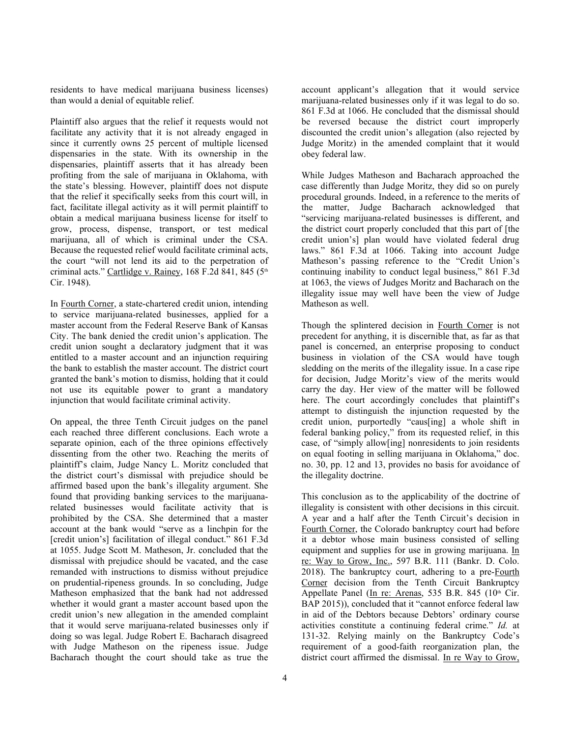residents to have medical marijuana business licenses) than would a denial of equitable relief.

Plaintiff also argues that the relief it requests would not facilitate any activity that it is not already engaged in since it currently owns 25 percent of multiple licensed dispensaries in the state. With its ownership in the dispensaries, plaintiff asserts that it has already been profiting from the sale of marijuana in Oklahoma, with the state's blessing. However, plaintiff does not dispute that the relief it specifically seeks from this court will, in fact, facilitate illegal activity as it will permit plaintiff to obtain a medical marijuana business license for itself to grow, process, dispense, transport, or test medical marijuana, all of which is criminal under the CSA. Because the requested relief would facilitate criminal acts, the court "will not lend its aid to the perpetration of criminal acts." [Cartlidge v. Rainey, 168 F.2d 841, 845 \(5th](http://www.westlaw.com/Link/Document/FullText?findType=Y&serNum=1948116152&pubNum=0000350&originatingDoc=Id28cf0a0c78211eb99108bada5c941b8&refType=RP&fi=co_pp_sp_350_845&originationContext=document&vr=3.0&rs=cblt1.0&transitionType=DocumentItem&contextData=(sc.Search)#co_pp_sp_350_845) [Cir. 1948\).](http://www.westlaw.com/Link/Document/FullText?findType=Y&serNum=1948116152&pubNum=0000350&originatingDoc=Id28cf0a0c78211eb99108bada5c941b8&refType=RP&fi=co_pp_sp_350_845&originationContext=document&vr=3.0&rs=cblt1.0&transitionType=DocumentItem&contextData=(sc.Search)#co_pp_sp_350_845)

In Fourth Corner, a state-chartered credit union, intending to service marijuana-related businesses, applied for a master account from the Federal Reserve Bank of Kansas City. The bank denied the credit union's application. The credit union sought a declaratory judgment that it was entitled to a master account and an injunction requiring the bank to establish the master account. The district court granted the bank's motion to dismiss, holding that it could not use its equitable power to grant a mandatory injunction that would facilitate criminal activity.

On appeal, the three Tenth Circuit judges on the panel each reached three different conclusions. Each wrote a separate opinion, each of the three opinions effectively dissenting from the other two. Reaching the merits of plaintiff's claim, Judge Nancy L. Moritz concluded that the district court's dismissal with prejudice should be affirmed based upon the bank's illegality argument. She found that providing banking services to the marijuanarelated businesses would facilitate activity that is prohibited by the CSA. She determined that a master account at the bank would "serve as a linchpin for the [credit union's] facilitation of illegal conduct." 861 F.3d [at 1055.](http://www.westlaw.com/Link/Document/FullText?findType=Y&serNum=2041956517&pubNum=0000506&originatingDoc=Id28cf0a0c78211eb99108bada5c941b8&refType=RP&fi=co_pp_sp_506_1055&originationContext=document&vr=3.0&rs=cblt1.0&transitionType=DocumentItem&contextData=(sc.Search)#co_pp_sp_506_1055) Judge Scott M. Matheson, Jr. concluded that the dismissal with prejudice should be vacated, and the case remanded with instructions to dismiss without prejudice on prudential-ripeness grounds. In so concluding, Judge Matheson emphasized that the bank had not addressed whether it would grant a master account based upon the credit union's new allegation in the amended complaint that it would serve marijuana-related businesses only if doing so was legal. Judge Robert E. Bacharach disagreed with Judge Matheson on the ripeness issue. Judge Bacharach thought the court should take as true the

account applicant's allegation that it would service marijuana-related businesses only if it was legal to do so. [861 F.3d at 1066.](http://www.westlaw.com/Link/Document/FullText?findType=Y&serNum=2041956517&pubNum=0000506&originatingDoc=Id28cf0a0c78211eb99108bada5c941b8&refType=RP&fi=co_pp_sp_506_1066&originationContext=document&vr=3.0&rs=cblt1.0&transitionType=DocumentItem&contextData=(sc.Search)#co_pp_sp_506_1066) He concluded that the dismissal should be reversed because the district court improperly discounted the credit union's allegation (also rejected by Judge Moritz) in the amended complaint that it would obey federal law.

While Judges Matheson and Bacharach approached the case differently than Judge Moritz, they did so on purely procedural grounds. Indeed, in a reference to the merits of the matter, Judge Bacharach acknowledged that "servicing marijuana-related businesses is different, and the district court properly concluded that this part of [the credit union's] plan would have violated [federal drug](http://www.westlaw.com/Link/Document/FullText?findType=Y&serNum=2041956517&pubNum=0000506&originatingDoc=Id28cf0a0c78211eb99108bada5c941b8&refType=RP&fi=co_pp_sp_506_1066&originationContext=document&vr=3.0&rs=cblt1.0&transitionType=DocumentItem&contextData=(sc.Search)#co_pp_sp_506_1066)  [laws." 861 F.3d at 1066.](http://www.westlaw.com/Link/Document/FullText?findType=Y&serNum=2041956517&pubNum=0000506&originatingDoc=Id28cf0a0c78211eb99108bada5c941b8&refType=RP&fi=co_pp_sp_506_1066&originationContext=document&vr=3.0&rs=cblt1.0&transitionType=DocumentItem&contextData=(sc.Search)#co_pp_sp_506_1066) Taking into account Judge Matheson's passing reference to the "Credit Union's continuing inability to conduct legal business," [861 F.3d](http://www.westlaw.com/Link/Document/FullText?findType=Y&serNum=2041956517&pubNum=0000506&originatingDoc=Id28cf0a0c78211eb99108bada5c941b8&refType=RP&fi=co_pp_sp_506_1063&originationContext=document&vr=3.0&rs=cblt1.0&transitionType=DocumentItem&contextData=(sc.Search)#co_pp_sp_506_1063)  [at 1063,](http://www.westlaw.com/Link/Document/FullText?findType=Y&serNum=2041956517&pubNum=0000506&originatingDoc=Id28cf0a0c78211eb99108bada5c941b8&refType=RP&fi=co_pp_sp_506_1063&originationContext=document&vr=3.0&rs=cblt1.0&transitionType=DocumentItem&contextData=(sc.Search)#co_pp_sp_506_1063) the views of Judges Moritz and Bacharach on the illegality issue may well have been the view of Judge Matheson as well.

Though the splintered decision in Fourth Corner is not precedent for anything, it is discernible that, as far as that panel is concerned, an enterprise proposing to conduct business in violation of the CSA would have tough sledding on the merits of the illegality issue. In a case ripe for decision, Judge Moritz's view of the merits would carry the day. Her view of the matter will be followed here. The court accordingly concludes that plaintiff's attempt to distinguish the injunction requested by the credit union, purportedly "caus[ing] a whole shift in federal banking policy," from its requested relief, in this case, of "simply allow[ing] nonresidents to join residents on equal footing in selling marijuana in Oklahoma," doc. no. 30, pp. 12 and 13, provides no basis for avoidance of the illegality doctrine.

This conclusion as to the applicability of the doctrine of illegality is consistent with other decisions in this circuit. A year and a half after the Tenth Circuit's decision in Fourth Corner, the Colorado bankruptcy court had before it a debtor whose main business consisted of selling equipment and supplies for use in growing marijuana. [In](http://www.westlaw.com/Link/Document/FullText?findType=Y&serNum=2047588655&pubNum=0000164&originatingDoc=Id28cf0a0c78211eb99108bada5c941b8&refType=RP&originationContext=document&vr=3.0&rs=cblt1.0&transitionType=DocumentItem&contextData=(sc.Search))  [re: Way to Grow, Inc., 597 B.R. 111 \(Bankr. D. Colo.](http://www.westlaw.com/Link/Document/FullText?findType=Y&serNum=2047588655&pubNum=0000164&originatingDoc=Id28cf0a0c78211eb99108bada5c941b8&refType=RP&originationContext=document&vr=3.0&rs=cblt1.0&transitionType=DocumentItem&contextData=(sc.Search))  [2018\).](http://www.westlaw.com/Link/Document/FullText?findType=Y&serNum=2047588655&pubNum=0000164&originatingDoc=Id28cf0a0c78211eb99108bada5c941b8&refType=RP&originationContext=document&vr=3.0&rs=cblt1.0&transitionType=DocumentItem&contextData=(sc.Search)) The bankruptcy court, adhering to a pre-Fourth Corner [decision from the Tenth Circuit Bankruptcy](http://www.westlaw.com/Link/Document/FullText?findType=Y&serNum=2036947470&pubNum=0000164&originatingDoc=Id28cf0a0c78211eb99108bada5c941b8&refType=RP&originationContext=document&vr=3.0&rs=cblt1.0&transitionType=DocumentItem&contextData=(sc.Search))  Appellate Panel (In re: Arenas, 535 B.R. 845 ( $10<sup>th</sup>$  Cir. [BAP 2015\)\)](http://www.westlaw.com/Link/Document/FullText?findType=Y&serNum=2036947470&pubNum=0000164&originatingDoc=Id28cf0a0c78211eb99108bada5c941b8&refType=RP&originationContext=document&vr=3.0&rs=cblt1.0&transitionType=DocumentItem&contextData=(sc.Search)), concluded that it "cannot enforce federal law in aid of the Debtors because Debtors' ordinary course activities constitute a continuing federal crime." *[Id.](http://www.westlaw.com/Link/Document/FullText?findType=Y&serNum=2047588655&pubNum=0000164&originatingDoc=Id28cf0a0c78211eb99108bada5c941b8&refType=RP&fi=co_pp_sp_164_131&originationContext=document&vr=3.0&rs=cblt1.0&transitionType=DocumentItem&contextData=(sc.Search)#co_pp_sp_164_131)* at [131-32.](http://www.westlaw.com/Link/Document/FullText?findType=Y&serNum=2047588655&pubNum=0000164&originatingDoc=Id28cf0a0c78211eb99108bada5c941b8&refType=RP&fi=co_pp_sp_164_131&originationContext=document&vr=3.0&rs=cblt1.0&transitionType=DocumentItem&contextData=(sc.Search)#co_pp_sp_164_131) Relying mainly on the Bankruptcy Code's requirement of a good-faith reorganization plan, the district court affirmed the dismissal. [In re Way to Grow,](http://www.westlaw.com/Link/Document/FullText?findType=Y&serNum=2049705609&pubNum=0000164&originatingDoc=Id28cf0a0c78211eb99108bada5c941b8&refType=RP&fi=co_pp_sp_164_346&originationContext=document&vr=3.0&rs=cblt1.0&transitionType=DocumentItem&contextData=(sc.Search)#co_pp_sp_164_346)